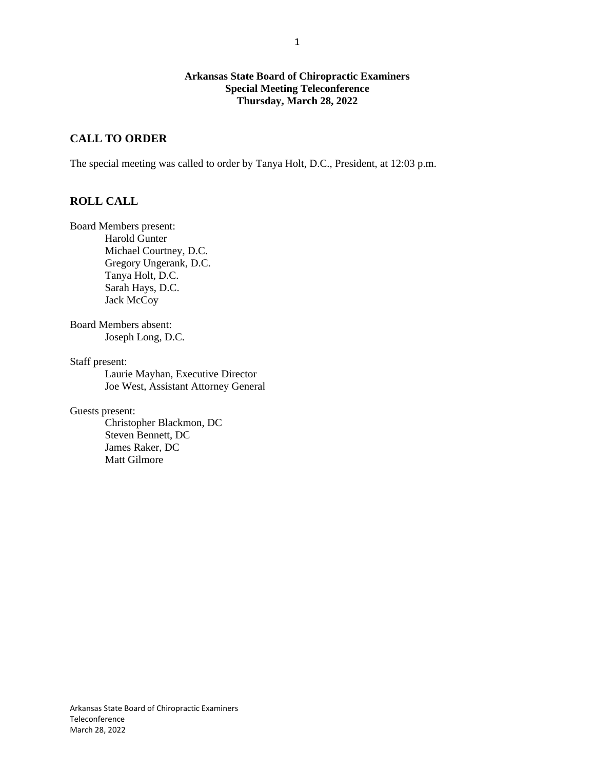### **Arkansas State Board of Chiropractic Examiners Special Meeting Teleconference Thursday, March 28, 2022**

# **CALL TO ORDER**

The special meeting was called to order by Tanya Holt, D.C., President, at 12:03 p.m.

# **ROLL CALL**

Board Members present: Harold Gunter Michael Courtney, D.C. Gregory Ungerank, D.C. Tanya Holt, D.C. Sarah Hays, D.C. Jack McCoy

Board Members absent: Joseph Long, D.C.

Staff present:

Laurie Mayhan, Executive Director Joe West, Assistant Attorney General

Guests present:

Christopher Blackmon, DC Steven Bennett, DC James Raker, DC Matt Gilmore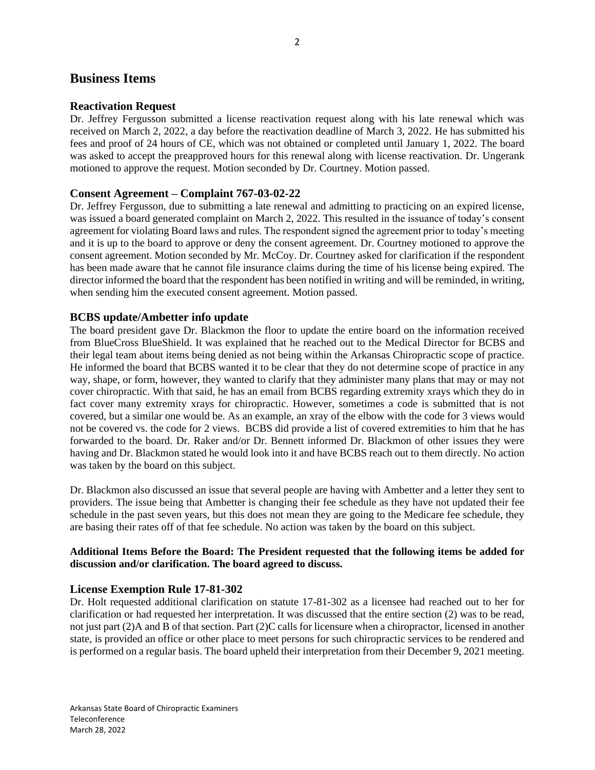# **Business Items**

#### **Reactivation Request**

Dr. Jeffrey Fergusson submitted a license reactivation request along with his late renewal which was received on March 2, 2022, a day before the reactivation deadline of March 3, 2022. He has submitted his fees and proof of 24 hours of CE, which was not obtained or completed until January 1, 2022. The board was asked to accept the preapproved hours for this renewal along with license reactivation. Dr. Ungerank motioned to approve the request. Motion seconded by Dr. Courtney. Motion passed.

#### **Consent Agreement – Complaint 767-03-02-22**

Dr. Jeffrey Fergusson, due to submitting a late renewal and admitting to practicing on an expired license, was issued a board generated complaint on March 2, 2022. This resulted in the issuance of today's consent agreement for violating Board laws and rules. The respondent signed the agreement prior to today's meeting and it is up to the board to approve or deny the consent agreement. Dr. Courtney motioned to approve the consent agreement. Motion seconded by Mr. McCoy. Dr. Courtney asked for clarification if the respondent has been made aware that he cannot file insurance claims during the time of his license being expired. The director informed the board that the respondent has been notified in writing and will be reminded, in writing, when sending him the executed consent agreement. Motion passed.

#### **BCBS update/Ambetter info update**

The board president gave Dr. Blackmon the floor to update the entire board on the information received from BlueCross BlueShield. It was explained that he reached out to the Medical Director for BCBS and their legal team about items being denied as not being within the Arkansas Chiropractic scope of practice. He informed the board that BCBS wanted it to be clear that they do not determine scope of practice in any way, shape, or form, however, they wanted to clarify that they administer many plans that may or may not cover chiropractic. With that said, he has an email from BCBS regarding extremity xrays which they do in fact cover many extremity xrays for chiropractic. However, sometimes a code is submitted that is not covered, but a similar one would be. As an example, an xray of the elbow with the code for 3 views would not be covered vs. the code for 2 views. BCBS did provide a list of covered extremities to him that he has forwarded to the board. Dr. Raker and/or Dr. Bennett informed Dr. Blackmon of other issues they were having and Dr. Blackmon stated he would look into it and have BCBS reach out to them directly. No action was taken by the board on this subject.

Dr. Blackmon also discussed an issue that several people are having with Ambetter and a letter they sent to providers. The issue being that Ambetter is changing their fee schedule as they have not updated their fee schedule in the past seven years, but this does not mean they are going to the Medicare fee schedule, they are basing their rates off of that fee schedule. No action was taken by the board on this subject.

#### **Additional Items Before the Board: The President requested that the following items be added for discussion and/or clarification. The board agreed to discuss.**

#### **License Exemption Rule 17-81-302**

Dr. Holt requested additional clarification on statute 17-81-302 as a licensee had reached out to her for clarification or had requested her interpretation. It was discussed that the entire section (2) was to be read, not just part (2)A and B of that section. Part (2)C calls for licensure when a chiropractor, licensed in another state, is provided an office or other place to meet persons for such chiropractic services to be rendered and is performed on a regular basis. The board upheld their interpretation from their December 9, 2021 meeting.